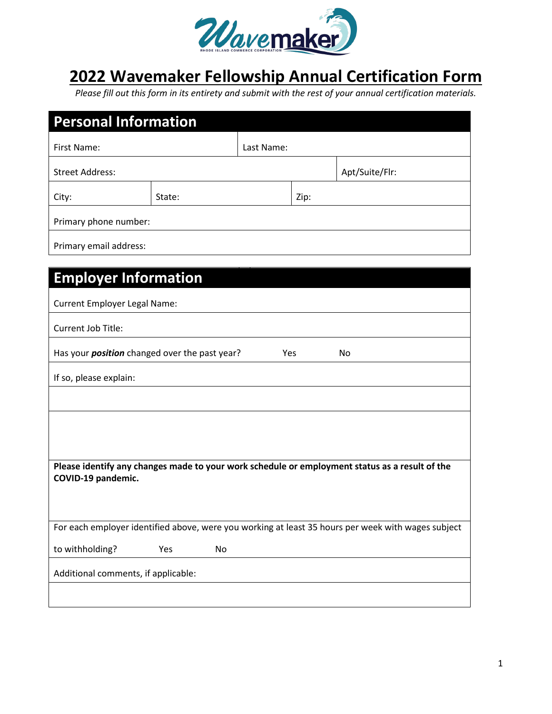

## **2022 Wavemaker Fellowship Annual Certification Form**

*Please fill out this form in its entirety and submit with the rest of your annual certification materials.* 

| <b>Personal Information</b>                                                                                          |        |    |            |      |                |  |  |  |
|----------------------------------------------------------------------------------------------------------------------|--------|----|------------|------|----------------|--|--|--|
| First Name:                                                                                                          |        |    | Last Name: |      |                |  |  |  |
| <b>Street Address:</b>                                                                                               |        |    |            |      | Apt/Suite/Flr: |  |  |  |
| City:                                                                                                                | State: |    |            | Zip: |                |  |  |  |
| Primary phone number:                                                                                                |        |    |            |      |                |  |  |  |
| Primary email address:                                                                                               |        |    |            |      |                |  |  |  |
| <b>Employer Information</b>                                                                                          |        |    |            |      |                |  |  |  |
| <b>Current Employer Legal Name:</b>                                                                                  |        |    |            |      |                |  |  |  |
| Current Job Title:                                                                                                   |        |    |            |      |                |  |  |  |
| Has your <i>position</i> changed over the past year?<br>Yes<br>No                                                    |        |    |            |      |                |  |  |  |
| If so, please explain:                                                                                               |        |    |            |      |                |  |  |  |
|                                                                                                                      |        |    |            |      |                |  |  |  |
|                                                                                                                      |        |    |            |      |                |  |  |  |
|                                                                                                                      |        |    |            |      |                |  |  |  |
| Please identify any changes made to your work schedule or employment status as a result of the<br>COVID-19 pandemic. |        |    |            |      |                |  |  |  |
| For each employer identified above, were you working at least 35 hours per week with wages subject                   |        |    |            |      |                |  |  |  |
| to withholding?                                                                                                      | Yes    | No |            |      |                |  |  |  |
| Additional comments, if applicable:                                                                                  |        |    |            |      |                |  |  |  |
|                                                                                                                      |        |    |            |      |                |  |  |  |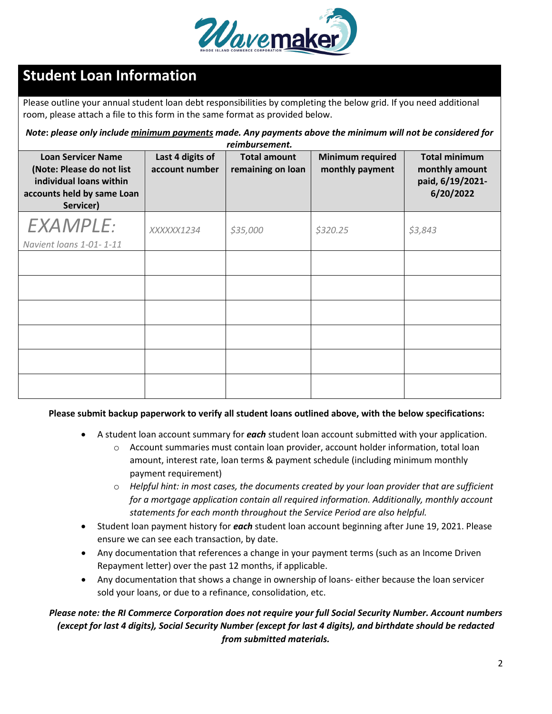

## **Student Loan Information**

Please outline your annual student loan debt responsibilities by completing the below grid. If you need additional room, please attach a file to this form in the same format as provided below.

*Note***:** *please only include minimum payments made. Any payments above the minimum will not be considered for reimbursement.*

| <b>Loan Servicer Name</b><br>(Note: Please do not list<br>individual loans within<br>accounts held by same Loan<br>Servicer) | Last 4 digits of<br>account number | <b>Total amount</b><br>remaining on loan | <b>Minimum required</b><br>monthly payment | <b>Total minimum</b><br>monthly amount<br>paid, 6/19/2021-<br>6/20/2022 |
|------------------------------------------------------------------------------------------------------------------------------|------------------------------------|------------------------------------------|--------------------------------------------|-------------------------------------------------------------------------|
| <b>EXAMPLE:</b><br>Navient loans 1-01-1-11                                                                                   | XXXXX1234                          | \$35,000                                 | \$320.25                                   | \$3,843                                                                 |
|                                                                                                                              |                                    |                                          |                                            |                                                                         |
|                                                                                                                              |                                    |                                          |                                            |                                                                         |
|                                                                                                                              |                                    |                                          |                                            |                                                                         |
|                                                                                                                              |                                    |                                          |                                            |                                                                         |
|                                                                                                                              |                                    |                                          |                                            |                                                                         |
|                                                                                                                              |                                    |                                          |                                            |                                                                         |

## **Please submit backup paperwork to verify all student loans outlined above, with the below specifications:**

- A student loan account summary for *each* student loan account submitted with your application.
	- $\circ$  Account summaries must contain loan provider, account holder information, total loan amount, interest rate, loan terms & payment schedule (including minimum monthly payment requirement)
	- o *Helpful hint: in most cases, the documents created by your loan provider that are sufficient for a mortgage application contain all required information. Additionally, monthly account statements for each month throughout the Service Period are also helpful.*
- Student loan payment history for *each* student loan account beginning after June 19, 2021. Please ensure we can see each transaction, by date.
- Any documentation that references a change in your payment terms (such as an Income Driven Repayment letter) over the past 12 months, if applicable.
- Any documentation that shows a change in ownership of loans- either because the loan servicer sold your loans, or due to a refinance, consolidation, etc.

## *Please note: the RI Commerce Corporation does not require your full Social Security Number. Account numbers (except for last 4 digits), Social Security Number (except for last 4 digits), and birthdate should be redacted from submitted materials.*